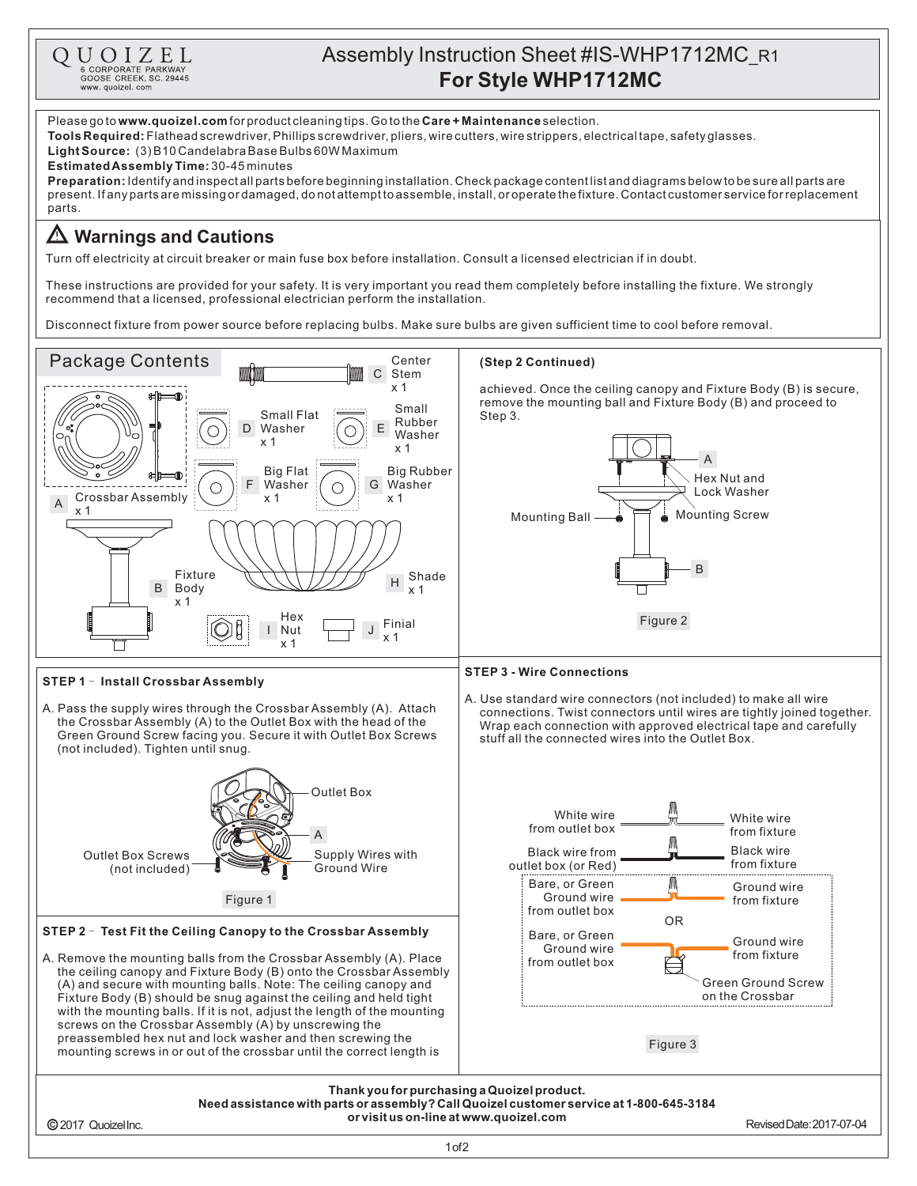

1of2

2017 QuoizelInc. RevisedDate:2017-07-04